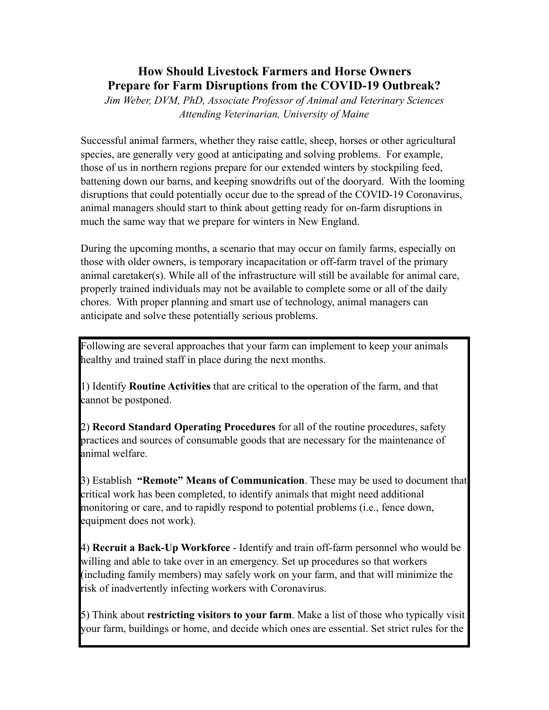# **How Should Livestock Farmers and Horse Owners Prepare for Farm Disruptions from the COVID-19 Outbreak?**

*Jim Weber, DVM, PhD, Associate Professor of Animal and Veterinary Sciences Attending Veterinarian, University of Maine* 

Successful animal farmers, whether they raise cattle, sheep, horses or other agricultural species, are generally very good at anticipating and solving problems. For example, those of us in northern regions prepare for our extended winters by stockpiling feed, battening down our barns, and keeping snowdrifts out of the dooryard. With the looming disruptions that could potentially occur due to the spread of the COVID-19 Coronavirus, animal managers should start to think about getting ready for on-farm disruptions in much the same way that we prepare for winters in New England.

During the upcoming months, a scenario that may occur on family farms, especially on those with older owners, is temporary incapacitation or off-farm travel of the primary animal caretaker(s). While all of the infrastructure will still be available for animal care, properly trained individuals may not be available to complete some or all of the daily chores. With proper planning and smart use of technology, animal managers can anticipate and solve these potentially serious problems.

Following are several approaches that your farm can implement to keep your animals healthy and trained staff in place during the next months.

1) Identify **Routine Activities** that are critical to the operation of the farm, and that cannot be postponed.

2) **Record Standard Operating Procedures** for all of the routine procedures, safety practices and sources of consumable goods that are necessary for the maintenance of animal welfare.

3) Establish **"Remote" Means of Communication**. These may be used to document that critical work has been completed, to identify animals that might need additional monitoring or care, and to rapidly respond to potential problems (i.e., fence down, equipment does not work).

4) **Recruit a Back-Up Workforce** - Identify and train off-farm personnel who would be willing and able to take over in an emergency. Set up procedures so that workers (including family members) may safely work on your farm, and that will minimize the risk of inadvertently infecting workers with Coronavirus.

5) Think about **restricting visitors to your farm**. Make a list of those who typically visit your farm, buildings or home, and decide which ones are essential. Set strict rules for the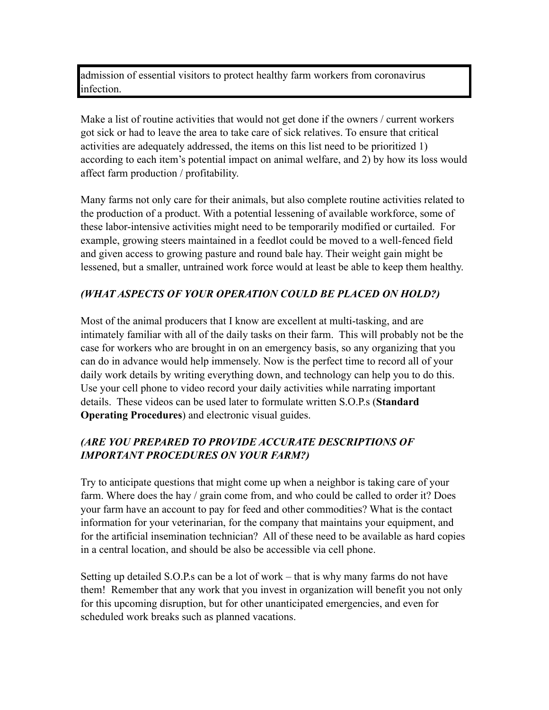admission of essential visitors to protect healthy farm workers from coronavirus infection.

Make a list of routine activities that would not get done if the owners / current workers got sick or had to leave the area to take care of sick relatives. To ensure that critical activities are adequately addressed, the items on this list need to be prioritized 1) according to each item's potential impact on animal welfare, and 2) by how its loss would affect farm production / profitability.

Many farms not only care for their animals, but also complete routine activities related to the production of a product. With a potential lessening of available workforce, some of these labor-intensive activities might need to be temporarily modified or curtailed. For example, growing steers maintained in a feedlot could be moved to a well-fenced field and given access to growing pasture and round bale hay. Their weight gain might be lessened, but a smaller, untrained work force would at least be able to keep them healthy.

### *(WHAT ASPECTS OF YOUR OPERATION COULD BE PLACED ON HOLD?)*

Most of the animal producers that I know are excellent at multi-tasking, and are intimately familiar with all of the daily tasks on their farm. This will probably not be the case for workers who are brought in on an emergency basis, so any organizing that you can do in advance would help immensely. Now is the perfect time to record all of your daily work details by writing everything down, and technology can help you to do this. Use your cell phone to video record your daily activities while narrating important details. These videos can be used later to formulate written S.O.P.s (**Standard Operating Procedures**) and electronic visual guides.

## *(ARE YOU PREPARED TO PROVIDE ACCURATE DESCRIPTIONS OF IMPORTANT PROCEDURES ON YOUR FARM?)*

Try to anticipate questions that might come up when a neighbor is taking care of your farm. Where does the hay / grain come from, and who could be called to order it? Does your farm have an account to pay for feed and other commodities? What is the contact information for your veterinarian, for the company that maintains your equipment, and for the artificial insemination technician? All of these need to be available as hard copies in a central location, and should be also be accessible via cell phone.

Setting up detailed S.O.P.s can be a lot of work – that is why many farms do not have them! Remember that any work that you invest in organization will benefit you not only for this upcoming disruption, but for other unanticipated emergencies, and even for scheduled work breaks such as planned vacations.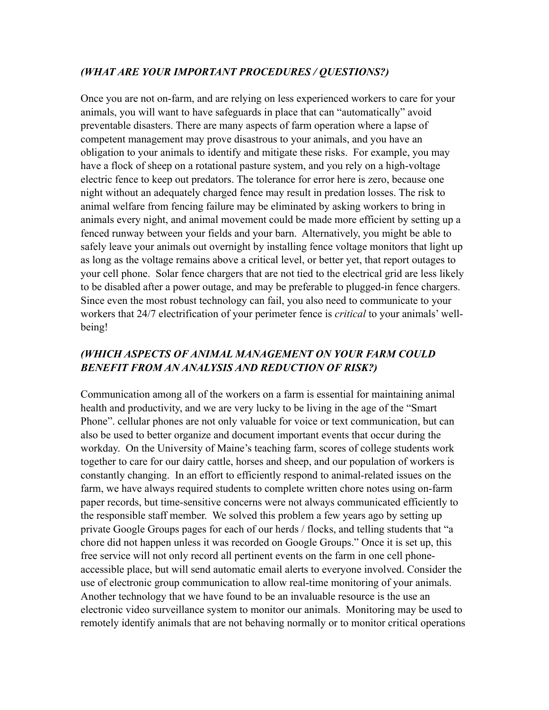#### *(WHAT ARE YOUR IMPORTANT PROCEDURES / QUESTIONS?)*

Once you are not on-farm, and are relying on less experienced workers to care for your animals, you will want to have safeguards in place that can "automatically" avoid preventable disasters. There are many aspects of farm operation where a lapse of competent management may prove disastrous to your animals, and you have an obligation to your animals to identify and mitigate these risks. For example, you may have a flock of sheep on a rotational pasture system, and you rely on a high-voltage electric fence to keep out predators. The tolerance for error here is zero, because one night without an adequately charged fence may result in predation losses. The risk to animal welfare from fencing failure may be eliminated by asking workers to bring in animals every night, and animal movement could be made more efficient by setting up a fenced runway between your fields and your barn. Alternatively, you might be able to safely leave your animals out overnight by installing fence voltage monitors that light up as long as the voltage remains above a critical level, or better yet, that report outages to your cell phone. Solar fence chargers that are not tied to the electrical grid are less likely to be disabled after a power outage, and may be preferable to plugged-in fence chargers. Since even the most robust technology can fail, you also need to communicate to your workers that 24/7 electrification of your perimeter fence is *critical* to your animals' wellbeing!

### *(WHICH ASPECTS OF ANIMAL MANAGEMENT ON YOUR FARM COULD BENEFIT FROM AN ANALYSIS AND REDUCTION OF RISK?)*

Communication among all of the workers on a farm is essential for maintaining animal health and productivity, and we are very lucky to be living in the age of the "Smart Phone". cellular phones are not only valuable for voice or text communication, but can also be used to better organize and document important events that occur during the workday. On the University of Maine's teaching farm, scores of college students work together to care for our dairy cattle, horses and sheep, and our population of workers is constantly changing. In an effort to efficiently respond to animal-related issues on the farm, we have always required students to complete written chore notes using on-farm paper records, but time-sensitive concerns were not always communicated efficiently to the responsible staff member. We solved this problem a few years ago by setting up private Google Groups pages for each of our herds / flocks, and telling students that "a chore did not happen unless it was recorded on Google Groups." Once it is set up, this free service will not only record all pertinent events on the farm in one cell phoneaccessible place, but will send automatic email alerts to everyone involved. Consider the use of electronic group communication to allow real-time monitoring of your animals. Another technology that we have found to be an invaluable resource is the use an electronic video surveillance system to monitor our animals. Monitoring may be used to remotely identify animals that are not behaving normally or to monitor critical operations